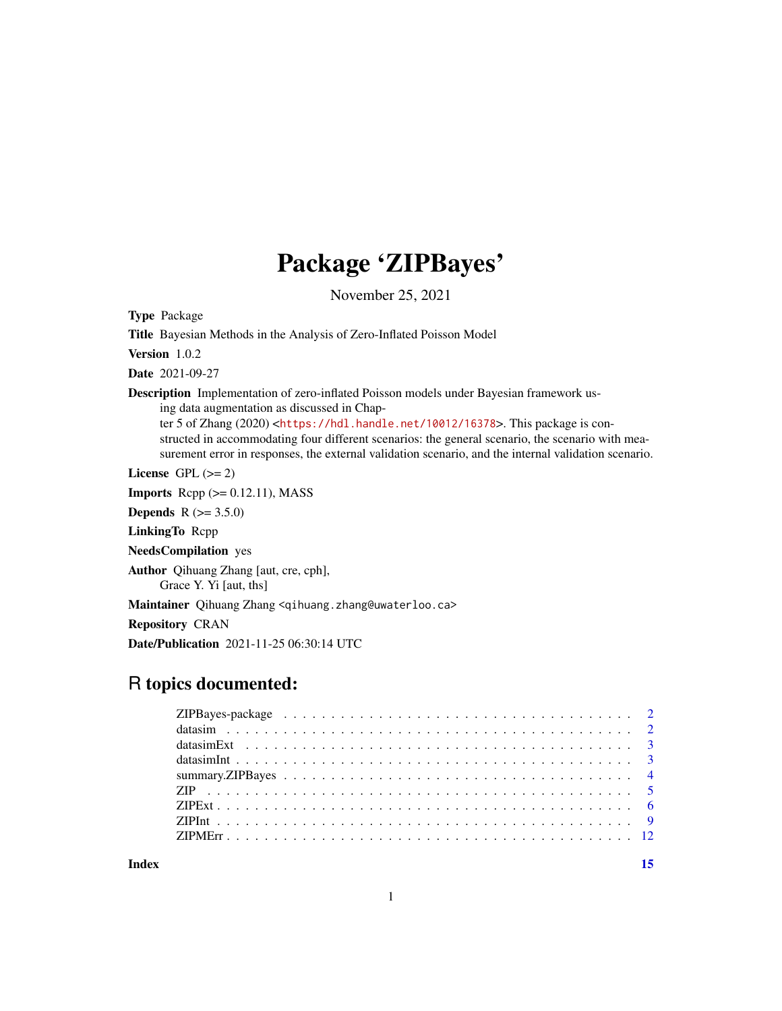## Package 'ZIPBayes'

November 25, 2021

<span id="page-0-0"></span>Type Package

Title Bayesian Methods in the Analysis of Zero-Inflated Poisson Model

Version 1.0.2

Date 2021-09-27

Description Implementation of zero-inflated Poisson models under Bayesian framework using data augmentation as discussed in Chapter 5 of Zhang (2020) <<https://hdl.handle.net/10012/16378>>. This package is con-

structed in accommodating four different scenarios: the general scenario, the scenario with measurement error in responses, the external validation scenario, and the internal validation scenario.

License GPL  $(>= 2)$ 

**Imports** Rcpp  $(>= 0.12.11)$ , MASS

**Depends** R  $(>= 3.5.0)$ 

LinkingTo Rcpp

NeedsCompilation yes

Author Qihuang Zhang [aut, cre, cph],

Grace Y. Yi [aut, ths]

Maintainer Qihuang Zhang <qihuang.zhang@uwaterloo.ca>

Repository CRAN

Date/Publication 2021-11-25 06:30:14 UTC

## R topics documented:

**Index** [15](#page-14-0)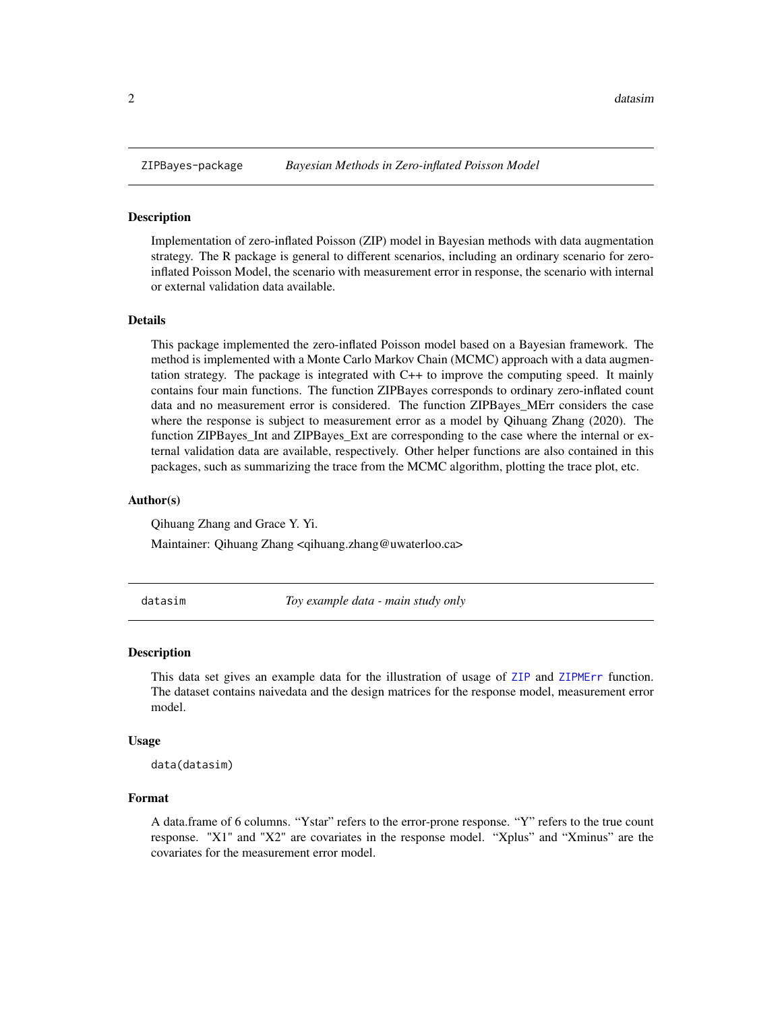<span id="page-1-0"></span>

Implementation of zero-inflated Poisson (ZIP) model in Bayesian methods with data augmentation strategy. The R package is general to different scenarios, including an ordinary scenario for zeroinflated Poisson Model, the scenario with measurement error in response, the scenario with internal or external validation data available.

### Details

This package implemented the zero-inflated Poisson model based on a Bayesian framework. The method is implemented with a Monte Carlo Markov Chain (MCMC) approach with a data augmentation strategy. The package is integrated with C++ to improve the computing speed. It mainly contains four main functions. The function ZIPBayes corresponds to ordinary zero-inflated count data and no measurement error is considered. The function ZIPBayes\_MErr considers the case where the response is subject to measurement error as a model by Qihuang Zhang (2020). The function ZIPBayes\_Int and ZIPBayes\_Ext are corresponding to the case where the internal or external validation data are available, respectively. Other helper functions are also contained in this packages, such as summarizing the trace from the MCMC algorithm, plotting the trace plot, etc.

### Author(s)

Qihuang Zhang and Grace Y. Yi.

Maintainer: Qihuang Zhang <qihuang.zhang@uwaterloo.ca>

<span id="page-1-1"></span>datasim *Toy example data - main study only*

### **Description**

This data set gives an example data for the illustration of usage of [ZIP](#page-4-1) and [ZIPMErr](#page-11-1) function. The dataset contains naivedata and the design matrices for the response model, measurement error model.

#### Usage

```
data(datasim)
```
### Format

A data.frame of 6 columns. "Ystar" refers to the error-prone response. "Y" refers to the true count response. "X1" and "X2" are covariates in the response model. "Xplus" and "Xminus" are the covariates for the measurement error model.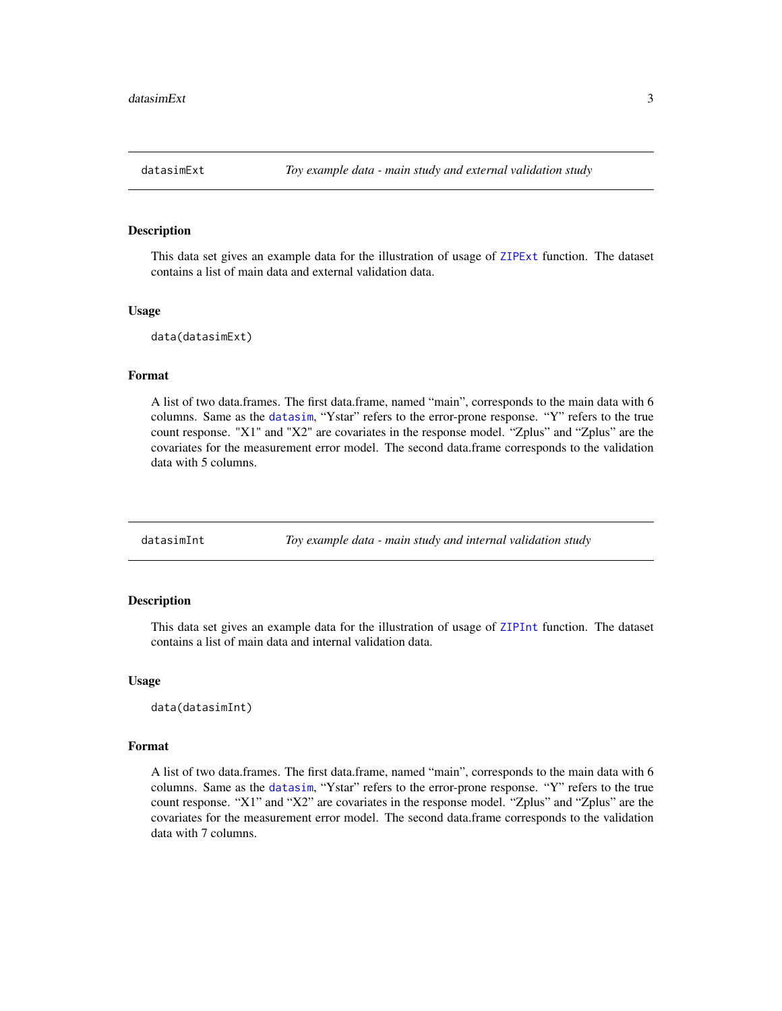<span id="page-2-0"></span>

This data set gives an example data for the illustration of usage of [ZIPExt](#page-5-1) function. The dataset contains a list of main data and external validation data.

### Usage

data(datasimExt)

### Format

A list of two data.frames. The first data.frame, named "main", corresponds to the main data with 6 columns. Same as the [datasim](#page-1-1), "Ystar" refers to the error-prone response. "Y" refers to the true count response. "X1" and "X2" are covariates in the response model. "Zplus" and "Zplus" are the covariates for the measurement error model. The second data.frame corresponds to the validation data with 5 columns.

datasimInt *Toy example data - main study and internal validation study*

### Description

This data set gives an example data for the illustration of usage of [ZIPInt](#page-8-1) function. The dataset contains a list of main data and internal validation data.

### Usage

data(datasimInt)

### Format

A list of two data.frames. The first data.frame, named "main", corresponds to the main data with 6 columns. Same as the [datasim](#page-1-1), "Ystar" refers to the error-prone response. "Y" refers to the true count response. "X1" and "X2" are covariates in the response model. "Zplus" and "Zplus" are the covariates for the measurement error model. The second data.frame corresponds to the validation data with 7 columns.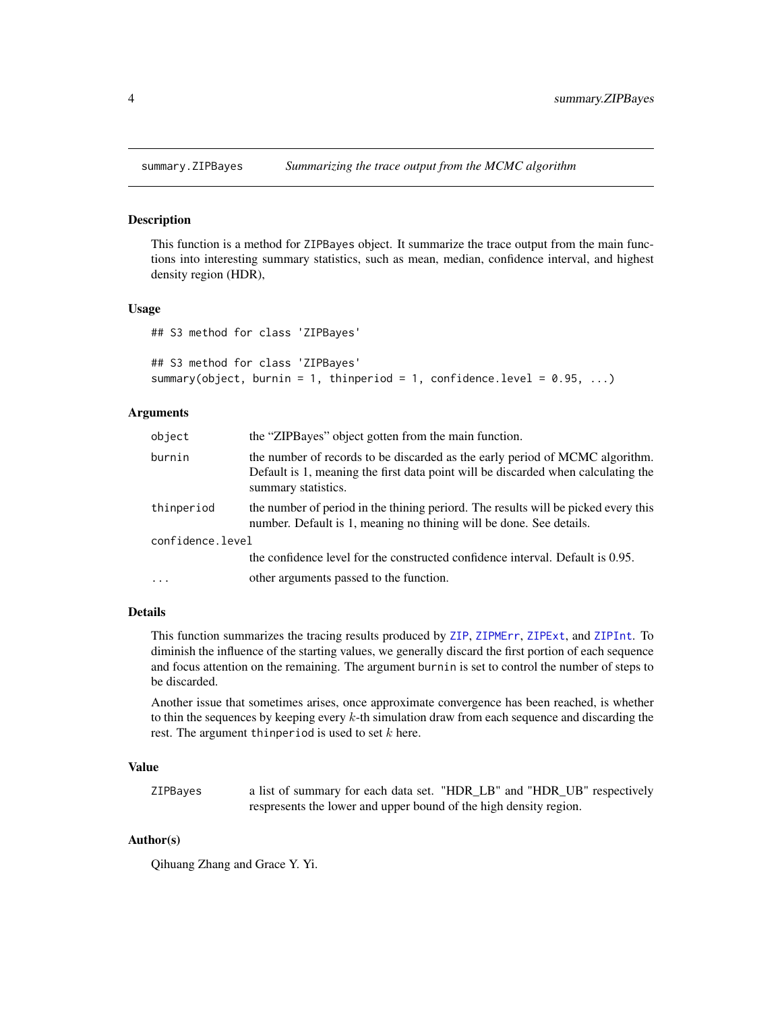<span id="page-3-0"></span>

This function is a method for ZIPBayes object. It summarize the trace output from the main functions into interesting summary statistics, such as mean, median, confidence interval, and highest density region (HDR),

### Usage

## S3 method for class 'ZIPBayes'

```
## S3 method for class 'ZIPBayes'
summary(object, burnin = 1, thinperiod = 1, confidence.level = 0.95, \dots)
```
### Arguments

| object           | the "ZIPBayes" object gotten from the main function.                                                                                                                                     |
|------------------|------------------------------------------------------------------------------------------------------------------------------------------------------------------------------------------|
| burnin           | the number of records to be discarded as the early period of MCMC algorithm.<br>Default is 1, meaning the first data point will be discarded when calculating the<br>summary statistics. |
| thinperiod       | the number of period in the thining periord. The results will be picked every this<br>number. Default is 1, meaning no thining will be done. See details.                                |
| confidence.level |                                                                                                                                                                                          |
|                  | the confidence level for the constructed confidence interval. Default is 0.95.                                                                                                           |
| $\cdot$          | other arguments passed to the function.                                                                                                                                                  |

### Details

This function summarizes the tracing results produced by [ZIP](#page-4-1), [ZIPMErr](#page-11-1), [ZIPExt](#page-5-1), and [ZIPInt](#page-8-1). To diminish the influence of the starting values, we generally discard the first portion of each sequence and focus attention on the remaining. The argument burnin is set to control the number of steps to be discarded.

Another issue that sometimes arises, once approximate convergence has been reached, is whether to thin the sequences by keeping every k-th simulation draw from each sequence and discarding the rest. The argument thinperiod is used to set  $k$  here.

### Value

ZIPBayes a list of summary for each data set. "HDR\_LB" and "HDR\_UB" respectively respresents the lower and upper bound of the high density region.

### Author(s)

Qihuang Zhang and Grace Y. Yi.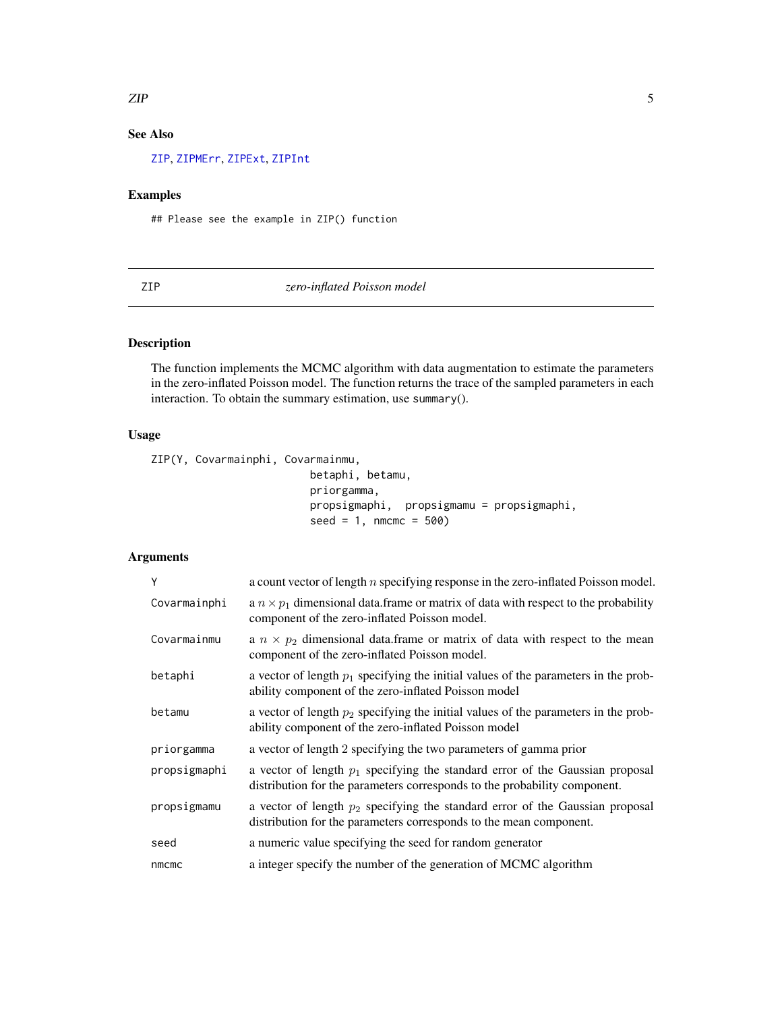### <span id="page-4-0"></span> $ZIP$  5

### See Also

[ZIP](#page-4-1), [ZIPMErr](#page-11-1), [ZIPExt](#page-5-1), [ZIPInt](#page-8-1)

### Examples

## Please see the example in ZIP() function

### <span id="page-4-1"></span>ZIP *zero-inflated Poisson model*

### Description

The function implements the MCMC algorithm with data augmentation to estimate the parameters in the zero-inflated Poisson model. The function returns the trace of the sampled parameters in each interaction. To obtain the summary estimation, use summary().

### Usage

ZIP(Y, Covarmainphi, Covarmainmu,

betaphi, betamu, priorgamma, propsigmaphi, propsigmamu = propsigmaphi,  $seed = 1$ , nmcmc = 500)

| Y            | a count vector of length $n$ specifying response in the zero-inflated Poisson model.                                                                         |
|--------------|--------------------------------------------------------------------------------------------------------------------------------------------------------------|
| Covarmainphi | a $n \times p_1$ dimensional data. frame or matrix of data with respect to the probability<br>component of the zero-inflated Poisson model.                  |
| Covarmainmu  | a $n \times p_2$ dimensional data. frame or matrix of data with respect to the mean<br>component of the zero-inflated Poisson model.                         |
| betaphi      | a vector of length $p_1$ specifying the initial values of the parameters in the prob-<br>ability component of the zero-inflated Poisson model                |
| betamu       | a vector of length $p_2$ specifying the initial values of the parameters in the prob-<br>ability component of the zero-inflated Poisson model                |
| priorgamma   | a vector of length 2 specifying the two parameters of gamma prior                                                                                            |
| propsigmaphi | a vector of length $p_1$ specifying the standard error of the Gaussian proposal<br>distribution for the parameters corresponds to the probability component. |
| propsigmamu  | a vector of length $p_2$ specifying the standard error of the Gaussian proposal<br>distribution for the parameters corresponds to the mean component.        |
| seed         | a numeric value specifying the seed for random generator                                                                                                     |
| nmcmc        | a integer specify the number of the generation of MCMC algorithm                                                                                             |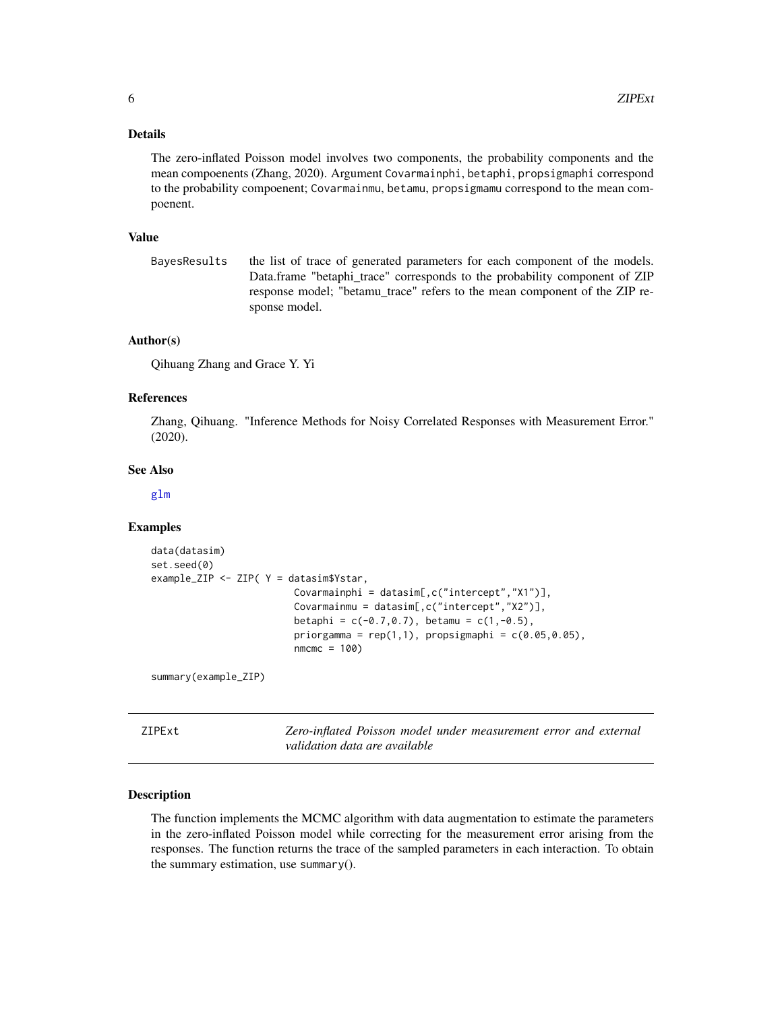### <span id="page-5-0"></span>Details

The zero-inflated Poisson model involves two components, the probability components and the mean compoenents (Zhang, 2020). Argument Covarmainphi, betaphi, propsigmaphi correspond to the probability compoenent; Covarmainmu, betamu, propsigmamu correspond to the mean compoenent.

### Value

BayesResults the list of trace of generated parameters for each component of the models. Data.frame "betaphi\_trace" corresponds to the probability component of ZIP response model; "betamu\_trace" refers to the mean component of the ZIP response model.

### Author(s)

Qihuang Zhang and Grace Y. Yi

### References

Zhang, Qihuang. "Inference Methods for Noisy Correlated Responses with Measurement Error." (2020).

### See Also

[glm](#page-0-0)

### Examples

```
data(datasim)
set.seed(0)
example_ZIP <- ZIP( Y = datasim$Ystar,
                         Covarmainphi = datasim[,c("intercept","X1")],
                         Covarmainmu = datasim[,c("intercept","X2")],
                         betaphi = c(-0.7, 0.7), betamu = c(1, -0.5),
                         priorgamma = rep(1,1), propsigmaphi = c(0.05,0.05),
                         nmcmc = 100)
```
summary(example\_ZIP)

<span id="page-5-1"></span>ZIPExt *Zero-inflated Poisson model under measurement error and external validation data are available*

### Description

The function implements the MCMC algorithm with data augmentation to estimate the parameters in the zero-inflated Poisson model while correcting for the measurement error arising from the responses. The function returns the trace of the sampled parameters in each interaction. To obtain the summary estimation, use summary().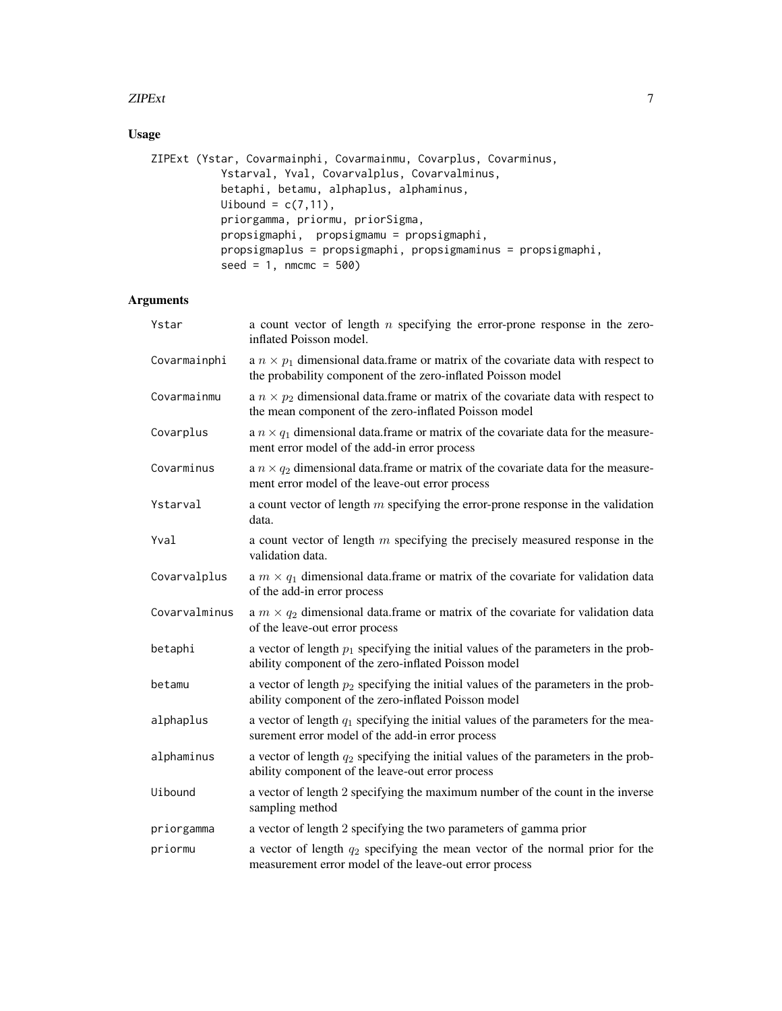### $ZIPExt$  7

### Usage

```
ZIPExt (Ystar, Covarmainphi, Covarmainmu, Covarplus, Covarminus,
          Ystarval, Yval, Covarvalplus, Covarvalminus,
          betaphi, betamu, alphaplus, alphaminus,
          Uibound = c(7, 11),
          priorgamma, priormu, priorSigma,
          propsigmaphi, propsigmamu = propsigmaphi,
          propsigmaplus = propsigmaphi, propsigmaminus = propsigmaphi,
           seed = 1, nmcmc = 500)
```

| Ystar         | a count vector of length $n$ specifying the error-prone response in the zero-<br>inflated Poisson model.                                                 |
|---------------|----------------------------------------------------------------------------------------------------------------------------------------------------------|
| Covarmainphi  | a $n \times p_1$ dimensional data. frame or matrix of the covariate data with respect to<br>the probability component of the zero-inflated Poisson model |
| Covarmainmu   | a $n \times p_2$ dimensional data. frame or matrix of the covariate data with respect to<br>the mean component of the zero-inflated Poisson model        |
| Covarplus     | a $n \times q_1$ dimensional data. frame or matrix of the covariate data for the measure-<br>ment error model of the add-in error process                |
| Covarminus    | a $n \times q_2$ dimensional data. frame or matrix of the covariate data for the measure-<br>ment error model of the leave-out error process             |
| Ystarval      | a count vector of length $m$ specifying the error-prone response in the validation<br>data.                                                              |
| Yval          | a count vector of length $m$ specifying the precisely measured response in the<br>validation data.                                                       |
| Covarvalplus  | a $m \times q_1$ dimensional data. frame or matrix of the covariate for validation data<br>of the add-in error process                                   |
| Covarvalminus | a $m \times q_2$ dimensional data. frame or matrix of the covariate for validation data<br>of the leave-out error process                                |
| betaphi       | a vector of length $p_1$ specifying the initial values of the parameters in the prob-<br>ability component of the zero-inflated Poisson model            |
| betamu        | a vector of length $p_2$ specifying the initial values of the parameters in the prob-<br>ability component of the zero-inflated Poisson model            |
| alphaplus     | a vector of length $q_1$ specifying the initial values of the parameters for the mea-<br>surement error model of the add-in error process                |
| alphaminus    | a vector of length $q_2$ specifying the initial values of the parameters in the prob-<br>ability component of the leave-out error process                |
| Uibound       | a vector of length 2 specifying the maximum number of the count in the inverse<br>sampling method                                                        |
| priorgamma    | a vector of length 2 specifying the two parameters of gamma prior                                                                                        |
| priormu       | a vector of length $q_2$ specifying the mean vector of the normal prior for the<br>measurement error model of the leave-out error process                |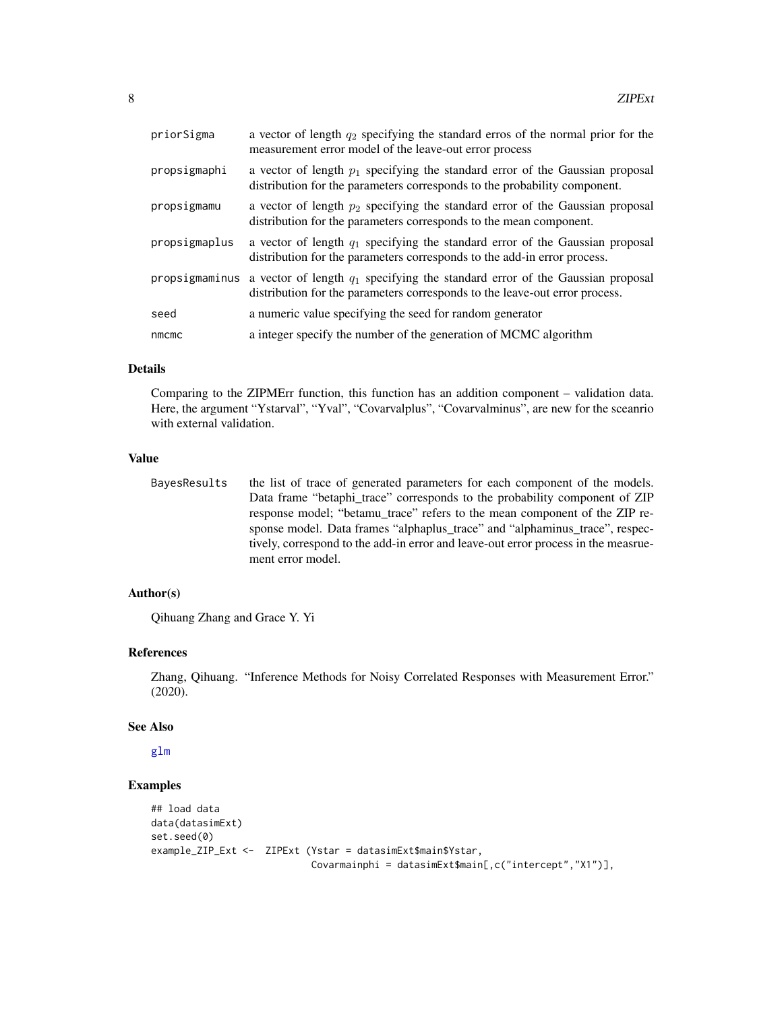<span id="page-7-0"></span>

| priorSigma     | a vector of length $q_2$ specifying the standard erros of the normal prior for the<br>measurement error model of the leave-out error process                   |
|----------------|----------------------------------------------------------------------------------------------------------------------------------------------------------------|
| propsigmaphi   | a vector of length $p_1$ specifying the standard error of the Gaussian proposal<br>distribution for the parameters corresponds to the probability component.   |
| propsigmamu    | a vector of length $p_2$ specifying the standard error of the Gaussian proposal<br>distribution for the parameters corresponds to the mean component.          |
| propsigmaplus  | a vector of length $q_1$ specifying the standard error of the Gaussian proposal<br>distribution for the parameters corresponds to the add-in error process.    |
| propsigmaminus | a vector of length $q_1$ specifying the standard error of the Gaussian proposal<br>distribution for the parameters corresponds to the leave-out error process. |
| seed           | a numeric value specifying the seed for random generator                                                                                                       |
| nmcmc          | a integer specify the number of the generation of MCMC algorithm                                                                                               |

### Details

Comparing to the ZIPMErr function, this function has an addition component – validation data. Here, the argument "Ystarval", "Yval", "Covarvalplus", "Covarvalminus", are new for the sceanrio with external validation.

#### Value

BayesResults the list of trace of generated parameters for each component of the models. Data frame "betaphi\_trace" corresponds to the probability component of ZIP response model; "betamu\_trace" refers to the mean component of the ZIP response model. Data frames "alphaplus\_trace" and "alphaminus\_trace", respectively, correspond to the add-in error and leave-out error process in the measruement error model.

### Author(s)

Qihuang Zhang and Grace Y. Yi

### References

Zhang, Qihuang. "Inference Methods for Noisy Correlated Responses with Measurement Error." (2020).

### See Also

[glm](#page-0-0)

### Examples

```
## load data
data(datasimExt)
set.seed(0)
example_ZIP_Ext <- ZIPExt (Ystar = datasimExt$main$Ystar,
                           Covarmainphi = datasimExt$main[,c("intercept","X1")],
```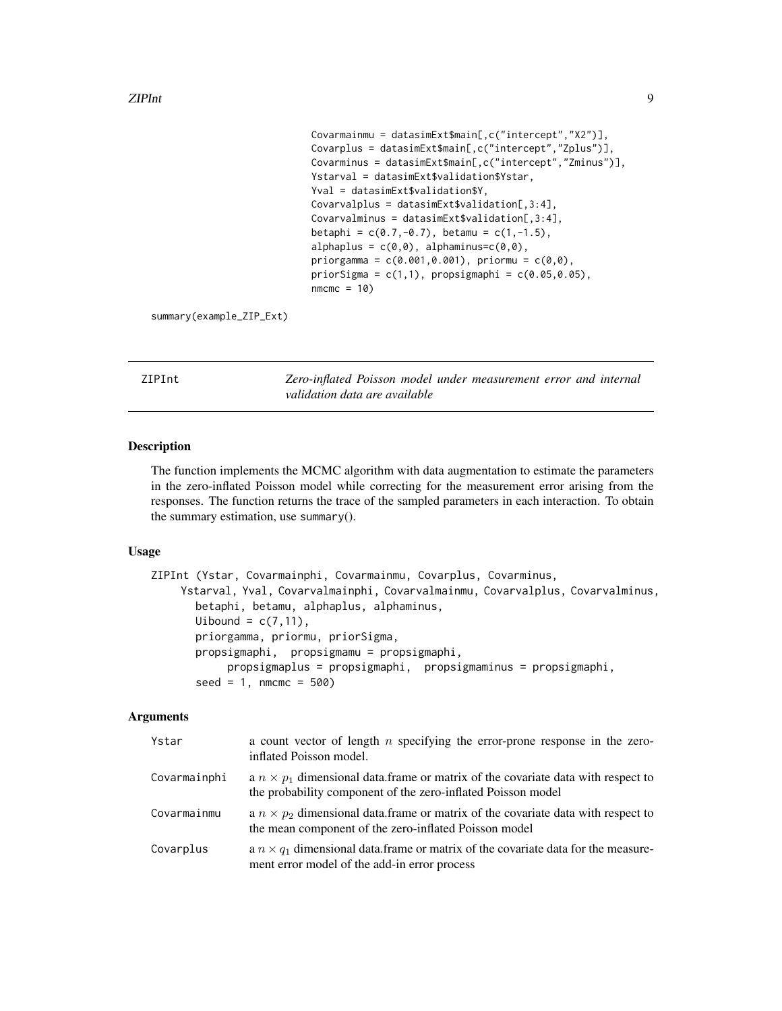```
Covarmainmu = datasimExt$main[,c("intercept","X2")],
Covarplus = datasimExt$main[,c("intercept","Zplus")],
Covarminus = datasimExt$main[,c("intercept","Zminus")],
Ystarval = datasimExt$validation$Ystar,
Yval = datasimExt$validation$Y,
Covarvalplus = datasimExt$validation[,3:4],
Covarvalminus = datasimExt$validation[,3:4],
betaphi = c(0.7, -0.7), betamu = c(1, -1.5),
alphaplus = c(\theta, \theta), alphaminus=c(\theta, \theta),
priorgamma = c(0.001, 0.001), priormu = c(0, 0),
priorSigma = c(1,1), propsigmaphi = c(0.05, 0.05),
nmcmc = 10
```
summary(example\_ZIP\_Ext)

<span id="page-8-1"></span>ZIPInt *Zero-inflated Poisson model under measurement error and internal validation data are available*

### Description

The function implements the MCMC algorithm with data augmentation to estimate the parameters in the zero-inflated Poisson model while correcting for the measurement error arising from the responses. The function returns the trace of the sampled parameters in each interaction. To obtain the summary estimation, use summary().

### Usage

```
ZIPInt (Ystar, Covarmainphi, Covarmainmu, Covarplus, Covarminus,
    Ystarval, Yval, Covarvalmainphi, Covarvalmainmu, Covarvalplus, Covarvalminus,
       betaphi, betamu, alphaplus, alphaminus,
      Uibound = c(7, 11),
       priorgamma, priormu, priorSigma,
      propsigmaphi, propsigmamu = propsigmaphi,
            propsigmaplus = propsigmaphi, propsigmaminus = propsigmaphi,
       seed = 1, nmcmc = 500)
```

| Ystar        | a count vector of length $n$ specifying the error-prone response in the zero-<br>inflated Poisson model.                                                 |
|--------------|----------------------------------------------------------------------------------------------------------------------------------------------------------|
| Covarmainphi | a $n \times p_1$ dimensional data. frame or matrix of the covariate data with respect to<br>the probability component of the zero-inflated Poisson model |
| Covarmainmu  | a $n \times p_2$ dimensional data. frame or matrix of the covariate data with respect to<br>the mean component of the zero-inflated Poisson model        |
| Covarplus    | a $n \times q_1$ dimensional data.frame or matrix of the covariate data for the measure-<br>ment error model of the add-in error process                 |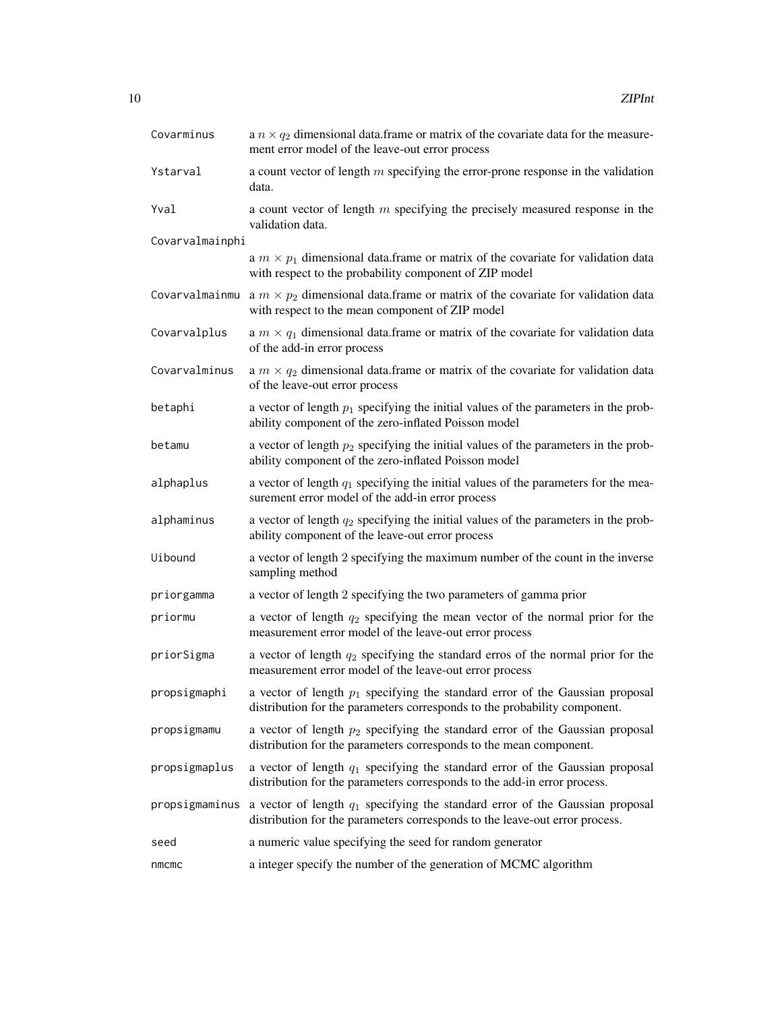| Covarminus      | a $n \times q_2$ dimensional data. frame or matrix of the covariate data for the measure-<br>ment error model of the leave-out error process                   |
|-----------------|----------------------------------------------------------------------------------------------------------------------------------------------------------------|
| Ystarval        | a count vector of length $m$ specifying the error-prone response in the validation<br>data.                                                                    |
| Yval            | a count vector of length $m$ specifying the precisely measured response in the<br>validation data.                                                             |
| Covarvalmainphi |                                                                                                                                                                |
|                 | a $m \times p_1$ dimensional data. frame or matrix of the covariate for validation data<br>with respect to the probability component of ZIP model              |
| Covarvalmainmu  | a $m \times p_2$ dimensional data.frame or matrix of the covariate for validation data<br>with respect to the mean component of ZIP model                      |
| Covarvalplus    | a $m \times q_1$ dimensional data. frame or matrix of the covariate for validation data<br>of the add-in error process                                         |
| Covarvalminus   | a $m \times q_2$ dimensional data. frame or matrix of the covariate for validation data<br>of the leave-out error process                                      |
| betaphi         | a vector of length $p_1$ specifying the initial values of the parameters in the prob-<br>ability component of the zero-inflated Poisson model                  |
| betamu          | a vector of length $p_2$ specifying the initial values of the parameters in the prob-<br>ability component of the zero-inflated Poisson model                  |
| alphaplus       | a vector of length $q_1$ specifying the initial values of the parameters for the mea-<br>surement error model of the add-in error process                      |
| alphaminus      | a vector of length $q_2$ specifying the initial values of the parameters in the prob-<br>ability component of the leave-out error process                      |
| Uibound         | a vector of length 2 specifying the maximum number of the count in the inverse<br>sampling method                                                              |
| priorgamma      | a vector of length 2 specifying the two parameters of gamma prior                                                                                              |
| priormu         | a vector of length $q_2$ specifying the mean vector of the normal prior for the<br>measurement error model of the leave-out error process                      |
| priorSigma      | a vector of length $q_2$ specifying the standard erros of the normal prior for the<br>measurement error model of the leave-out error process                   |
| propsigmaphi    | a vector of length $p_1$ specifying the standard error of the Gaussian proposal<br>distribution for the parameters corresponds to the probability component.   |
| propsigmamu     | a vector of length $p_2$ specifying the standard error of the Gaussian proposal<br>distribution for the parameters corresponds to the mean component.          |
| propsigmaplus   | a vector of length $q_1$ specifying the standard error of the Gaussian proposal<br>distribution for the parameters corresponds to the add-in error process.    |
| propsigmaminus  | a vector of length $q_1$ specifying the standard error of the Gaussian proposal<br>distribution for the parameters corresponds to the leave-out error process. |
| seed            | a numeric value specifying the seed for random generator                                                                                                       |
| nmcmc           | a integer specify the number of the generation of MCMC algorithm                                                                                               |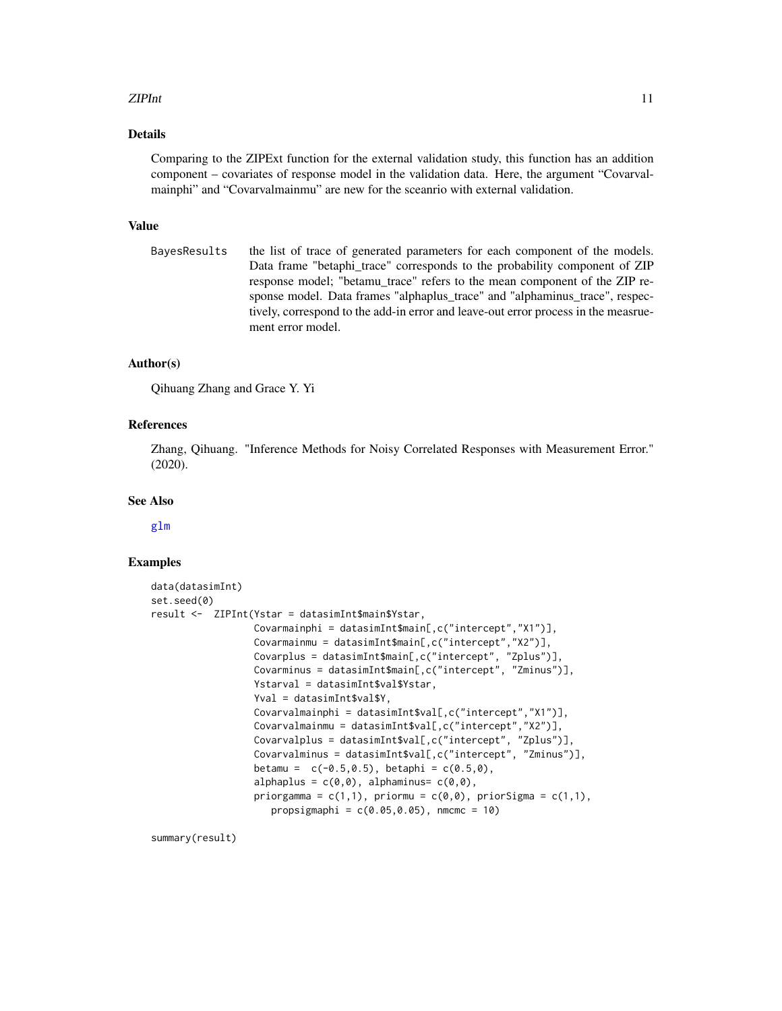### <span id="page-10-0"></span>zIPInt 11

### Details

Comparing to the ZIPExt function for the external validation study, this function has an addition component – covariates of response model in the validation data. Here, the argument "Covarvalmainphi" and "Covarvalmainmu" are new for the sceanrio with external validation.

### Value

BayesResults the list of trace of generated parameters for each component of the models. Data frame "betaphi\_trace" corresponds to the probability component of ZIP response model; "betamu\_trace" refers to the mean component of the ZIP response model. Data frames "alphaplus trace" and "alphaminus trace", respectively, correspond to the add-in error and leave-out error process in the measruement error model.

### Author(s)

Qihuang Zhang and Grace Y. Yi

### References

Zhang, Qihuang. "Inference Methods for Noisy Correlated Responses with Measurement Error." (2020).

### See Also

[glm](#page-0-0)

### Examples

```
data(datasimInt)
set.seed(0)
result <- ZIPInt(Ystar = datasimInt$main$Ystar,
                   Covarmainphi = datasimInt$main[,c("intercept","X1")],
                   Covarmainmu = datasimInt$main[,c("intercept","X2")],
                   Covarplus = datasimInt$main[,c("intercept", "Zplus")],
                   Covarminus = datasimInt$main[,c("intercept", "Zminus")],
                   Ystarval = datasimInt$val$Ystar,
                   Yval = datasimInt$val$Y.
                   Covarvalmainphi = datasimInt$val[,c("intercept","X1")],
                   Covarvalmainmu = datasimInt$val[,c("intercept","X2")],
                   Covarvalplus = datasimInt$val[,c("intercept", "Zplus")],
                   Covarvalminus = datasimInt$val[,c("intercept", "Zminus")],
                   betamu = c(-0.5, 0.5), betaphi = c(0.5, 0),
                   alphaplus = c(\theta, \theta), alphaminus= c(\theta, \theta),
                   priorgamma = c(1,1), priormu = c(\emptyset,\emptyset), priorSigma = c(1,1),
                      propsigmaphi = c(0.05, 0.05), nmcmc = 10)
```
summary(result)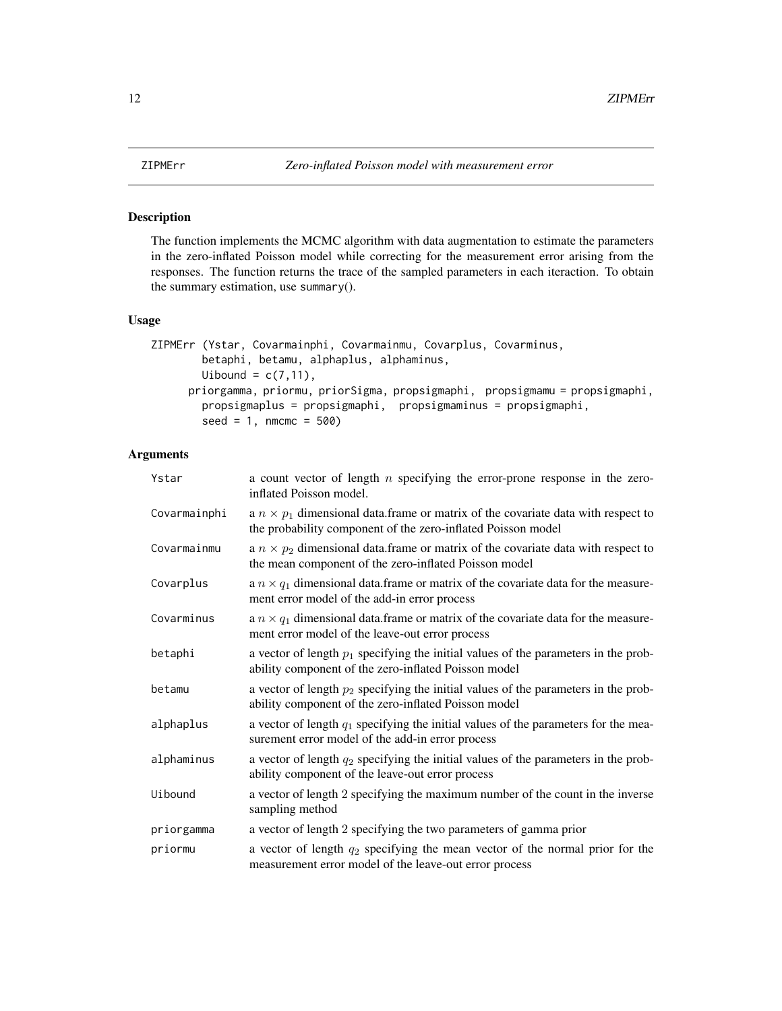<span id="page-11-1"></span><span id="page-11-0"></span>The function implements the MCMC algorithm with data augmentation to estimate the parameters in the zero-inflated Poisson model while correcting for the measurement error arising from the responses. The function returns the trace of the sampled parameters in each iteraction. To obtain the summary estimation, use summary().

### Usage

```
ZIPMErr (Ystar, Covarmainphi, Covarmainmu, Covarplus, Covarminus,
        betaphi, betamu, alphaplus, alphaminus,
        Uibound = c(7, 11),
     priorgamma, priormu, priorSigma, propsigmaphi, propsigmamu = propsigmaphi,
        propsigmaplus = propsigmaphi, propsigmaminus = propsigmaphi,
        seed = 1, nmcmc = 500)
```

| Ystar        | a count vector of length $n$ specifying the error-prone response in the zero-<br>inflated Poisson model.                                                 |
|--------------|----------------------------------------------------------------------------------------------------------------------------------------------------------|
| Covarmainphi | a $n \times p_1$ dimensional data. frame or matrix of the covariate data with respect to<br>the probability component of the zero-inflated Poisson model |
| Covarmainmu  | a $n \times p_2$ dimensional data. frame or matrix of the covariate data with respect to<br>the mean component of the zero-inflated Poisson model        |
| Covarplus    | a $n \times q_1$ dimensional data. frame or matrix of the covariate data for the measure-<br>ment error model of the add-in error process                |
| Covarminus   | a $n \times q_1$ dimensional data. frame or matrix of the covariate data for the measure-<br>ment error model of the leave-out error process             |
| betaphi      | a vector of length $p_1$ specifying the initial values of the parameters in the prob-<br>ability component of the zero-inflated Poisson model            |
| betamu       | a vector of length $p_2$ specifying the initial values of the parameters in the prob-<br>ability component of the zero-inflated Poisson model            |
| alphaplus    | a vector of length $q_1$ specifying the initial values of the parameters for the mea-<br>surement error model of the add-in error process                |
| alphaminus   | a vector of length $q_2$ specifying the initial values of the parameters in the prob-<br>ability component of the leave-out error process                |
| Uibound      | a vector of length 2 specifying the maximum number of the count in the inverse<br>sampling method                                                        |
| priorgamma   | a vector of length 2 specifying the two parameters of gamma prior                                                                                        |
| priormu      | a vector of length $q_2$ specifying the mean vector of the normal prior for the<br>measurement error model of the leave-out error process                |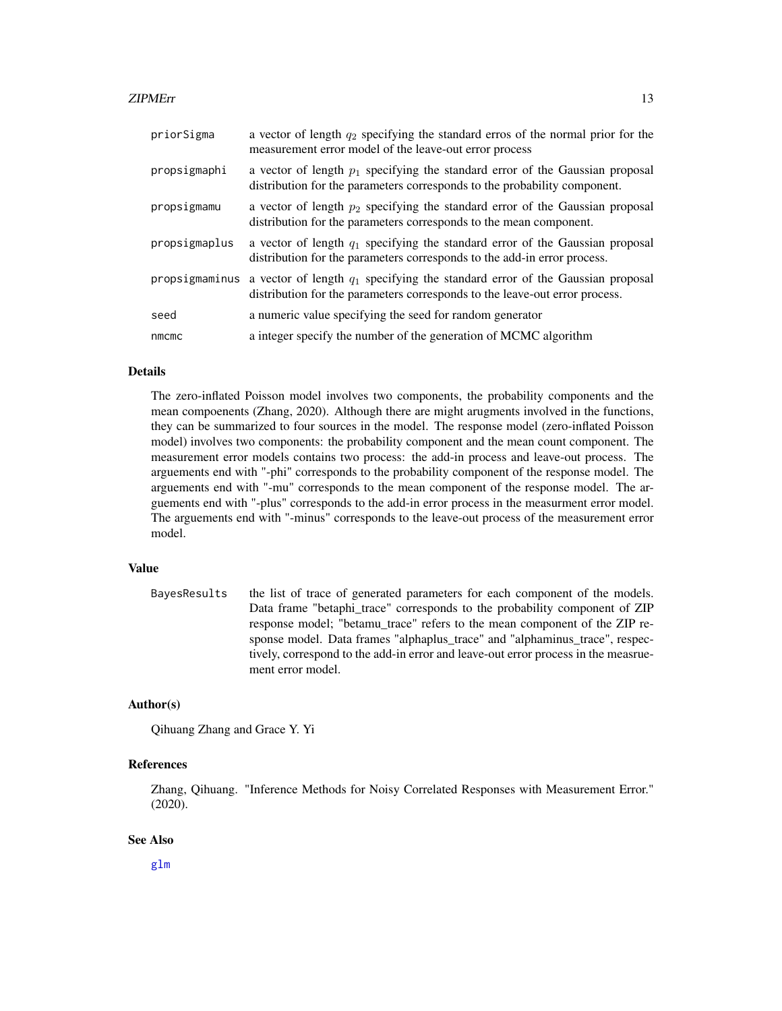### <span id="page-12-0"></span>zIPMErr 13

| priorSigma     | a vector of length $q_2$ specifying the standard erros of the normal prior for the<br>measurement error model of the leave-out error process                   |
|----------------|----------------------------------------------------------------------------------------------------------------------------------------------------------------|
| propsigmaphi   | a vector of length $p_1$ specifying the standard error of the Gaussian proposal<br>distribution for the parameters corresponds to the probability component.   |
| propsigmamu    | a vector of length $p_2$ specifying the standard error of the Gaussian proposal<br>distribution for the parameters corresponds to the mean component.          |
| propsigmaplus  | a vector of length $q_1$ specifying the standard error of the Gaussian proposal<br>distribution for the parameters corresponds to the add-in error process.    |
| propsigmaminus | a vector of length $q_1$ specifying the standard error of the Gaussian proposal<br>distribution for the parameters corresponds to the leave-out error process. |
| seed           | a numeric value specifying the seed for random generator                                                                                                       |
| nmcmc          | a integer specify the number of the generation of MCMC algorithm                                                                                               |

### Details

The zero-inflated Poisson model involves two components, the probability components and the mean compoenents (Zhang, 2020). Although there are might arugments involved in the functions, they can be summarized to four sources in the model. The response model (zero-inflated Poisson model) involves two components: the probability component and the mean count component. The measurement error models contains two process: the add-in process and leave-out process. The arguements end with "-phi" corresponds to the probability component of the response model. The arguements end with "-mu" corresponds to the mean component of the response model. The arguements end with "-plus" corresponds to the add-in error process in the measurment error model. The arguements end with "-minus" corresponds to the leave-out process of the measurement error model.

### Value

BayesResults the list of trace of generated parameters for each component of the models. Data frame "betaphi\_trace" corresponds to the probability component of ZIP response model; "betamu\_trace" refers to the mean component of the ZIP response model. Data frames "alphaplus\_trace" and "alphaminus\_trace", respectively, correspond to the add-in error and leave-out error process in the measruement error model.

### Author(s)

Qihuang Zhang and Grace Y. Yi

### References

Zhang, Qihuang. "Inference Methods for Noisy Correlated Responses with Measurement Error." (2020).

### See Also

[glm](#page-0-0)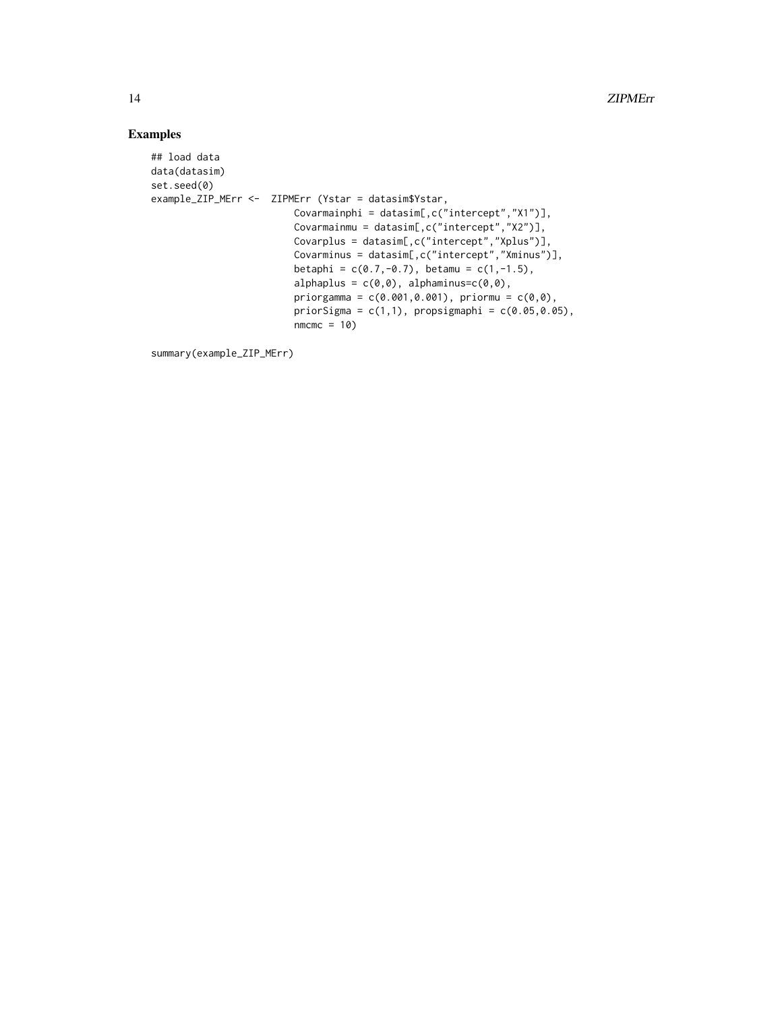### Examples

```
## load data
data(datasim)
set.seed(0)
example_ZIP_MErr <- ZIPMErr (Ystar = datasim$Ystar,
                           Covarmainphi = datasim[,c("intercept","X1")],
                           Covarmainmu = datasim[,c("intercept","X2")],
                           Covarplus = datasim[,c("intercept","Xplus")],
                           Covarminus = datasim[,c("intercept","Xminus")],
                           betaphi = c(0.7, -0.7), betamu = c(1, -1.5),
                           alphaplus = c(\emptyset, \emptyset), alphaminus=c(\emptyset, \emptyset),
                           priorgamma = c(0.001, 0.001), priormu = c(0, 0),
                           priorSigma = c(1,1), propsigmaphi = c(0.05,0.05),
                           nmcmc = 10)
```
summary(example\_ZIP\_MErr)